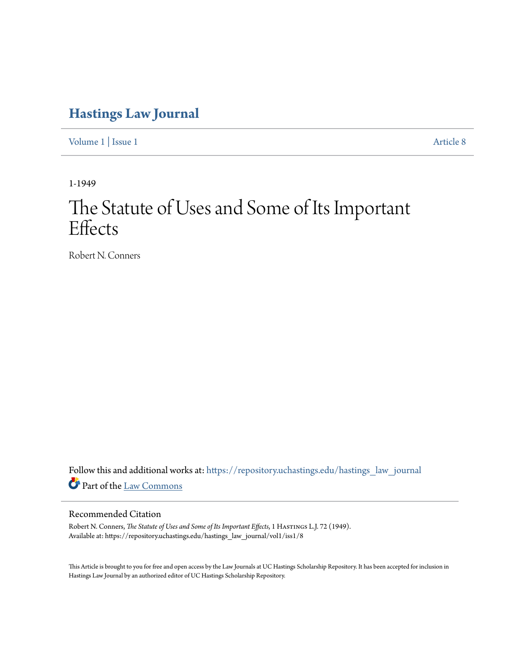# **[Hastings Law Journal](https://repository.uchastings.edu/hastings_law_journal?utm_source=repository.uchastings.edu%2Fhastings_law_journal%2Fvol1%2Fiss1%2F8&utm_medium=PDF&utm_campaign=PDFCoverPages)**

[Volume 1](https://repository.uchastings.edu/hastings_law_journal/vol1?utm_source=repository.uchastings.edu%2Fhastings_law_journal%2Fvol1%2Fiss1%2F8&utm_medium=PDF&utm_campaign=PDFCoverPages) | [Issue 1](https://repository.uchastings.edu/hastings_law_journal/vol1/iss1?utm_source=repository.uchastings.edu%2Fhastings_law_journal%2Fvol1%2Fiss1%2F8&utm_medium=PDF&utm_campaign=PDFCoverPages) [Article 8](https://repository.uchastings.edu/hastings_law_journal/vol1/iss1/8?utm_source=repository.uchastings.edu%2Fhastings_law_journal%2Fvol1%2Fiss1%2F8&utm_medium=PDF&utm_campaign=PDFCoverPages)

1-1949

# The Statute of Uses and Some of Its Important **Effects**

Robert N. Conners

Follow this and additional works at: [https://repository.uchastings.edu/hastings\\_law\\_journal](https://repository.uchastings.edu/hastings_law_journal?utm_source=repository.uchastings.edu%2Fhastings_law_journal%2Fvol1%2Fiss1%2F8&utm_medium=PDF&utm_campaign=PDFCoverPages) Part of the [Law Commons](http://network.bepress.com/hgg/discipline/578?utm_source=repository.uchastings.edu%2Fhastings_law_journal%2Fvol1%2Fiss1%2F8&utm_medium=PDF&utm_campaign=PDFCoverPages)

## Recommended Citation

Robert N. Conners, *The Statute of Uses and Some of Its Important Effects*, 1 HASTINGS L.J. 72 (1949). Available at: https://repository.uchastings.edu/hastings\_law\_journal/vol1/iss1/8

This Article is brought to you for free and open access by the Law Journals at UC Hastings Scholarship Repository. It has been accepted for inclusion in Hastings Law Journal by an authorized editor of UC Hastings Scholarship Repository.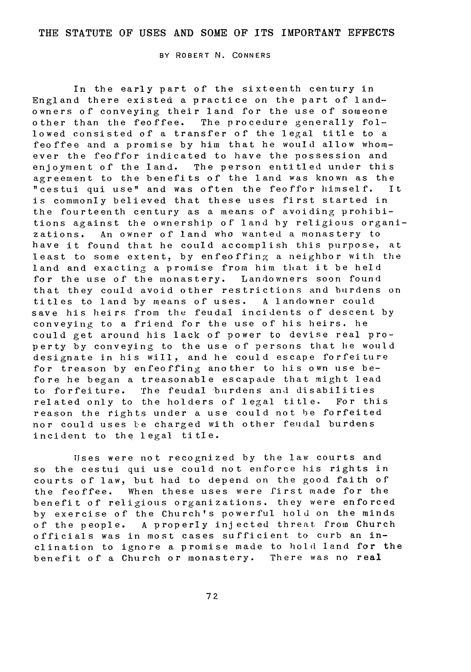#### THE **STATUTE** OF **USES AND SOME** OF **ITS** IMPORTANT **EFFECTS**

BY ROBERT N. CONNERS

In the early part of the sixteenth century in England there existed a practice on the part of landowners of conveying their land for the use of someone other than the feoffee. The procedure generally followed consisted of a transfer of the legal title to a feoffee and a promise by him that he would allow whomever the feoffor indicated to have the possession and enjoyment of the land. The person entitled under this agreement to the benefits of the land was known as the<br>"cestui qui use" and was often the feoffor himself. It "cestui qui use" and was often the feoffor himself. is commonly believed that these uses first started in the fourteenth century as a means of avoiding prohibitions against the ownership of land by religious organizations. An owner of land who wanted a monastery to have it found that he could accomplish this purpose, at least to some extent, by enfeoffing a neighbor with the land and exacting a promise from him that it be held for the use of the monastery. Landowners soon found that they could avoid other restrictions and burdens on<br>titles to land by means of uses. A landowner could titles to land by means of uses. save his heirs from the feudal incidents of descent by conveying to a friend for the use of his heirs, he could get around his lack of power to devise real property by conveying to the use of persons that he would designate in his will, and he could escape forfeiture for treason by enfeoffing another to his own use before he began a treasonable escapade that might lead to forfeiture. The feudal burdens and disabilities related only to the holders of legal title. For this reason the rights under a use could not be forfeited nor could uses be charged with other feudal burdens incident to the legal title.

Uses were not recognized by the law courts and so the cestui qui use could not enforce his rights in courts of law, but had to depend on the good faith of the feoffee. When these uses were first made for the benefit of religious organizations. they were enforced by exercise of the Church's powerful hold on the minds<br>of the people. A properly injected threat from Church A properly injected threat from Church officials was in most cases sufficient to curb an inclination to ignore a promise made to hold land for the benefit of a Church or monastery. There was no real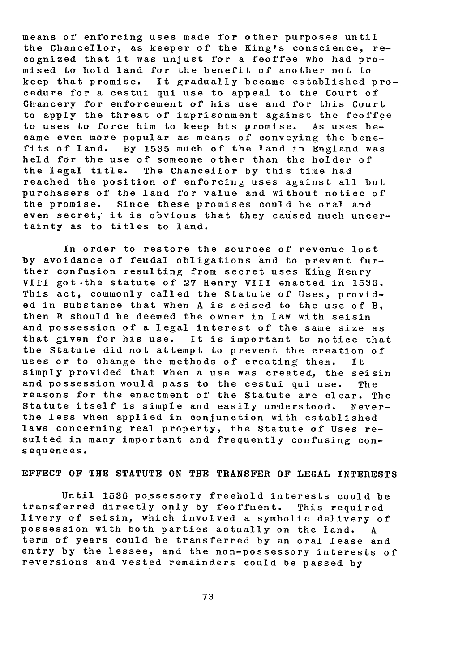means of enforcing uses made for other purposes until the Chancellor, as keeper of the King's conscience, recognized that it was unjust for a feoffee who had promised to hold land for the benefit of another not to keep that promise. It gradually became established procedure for a cestui qui use to appeal to the Court of Chancery for enforcement of his use and for this Court to apply the threat of imprisonment against the feoffee to uses to force him to keep his promise. As uses became even more popular as means of conveying the benefits of land. By **1535** much of the land in England was held for the use of someone other than the holder of the legal title. The Chancellor by this time had reached the position of enforcing uses against all but purchasers of the land for value and without notice of the promise. Since these promises could be oral and even secret, it is obvious that they caused much uncertainty as to titles to land.

In order to restore the sources of revenue lost by avoidance of feudal obligations and to prevent further confusion resulting from secret uses King Henry VIII got .the statute of **27** Henry VIII enacted in **1536.** This act, commonly called the Statute of Uses, provided in substance that when A is seised to the use of B, then B should be deemed the owner in law with seisin and possession of a legal interest of the same size as that given for his use. It is important to notice that the Statute did not attempt to prevent the creation of uses or to change the methods of creating them. It simply provided that when a use was created, the seisin and possession would pass to the cestui qui use. The reasons for the enactment of the Statute are clear. The Statute itself is simple and easily understood. Neverthe less when applied in conjunction with established laws concerning real property, the Statute of Uses resulted in many important and frequently confusing consequences.

#### **EFFECT** OF THE **STATUTE ON** THE TRANSFER OF **LEGAL** INTERESTS

Until 1536 possessory freehold interests could be transferred directly only by feoffment. This required livery of seisin, which involved a symbolic delivery of possession with both parties actually on the land. A term of years could be transferred by an oral lease and entry by the lessee, and the non-possessory interests of reversions and vested remainders could be passed by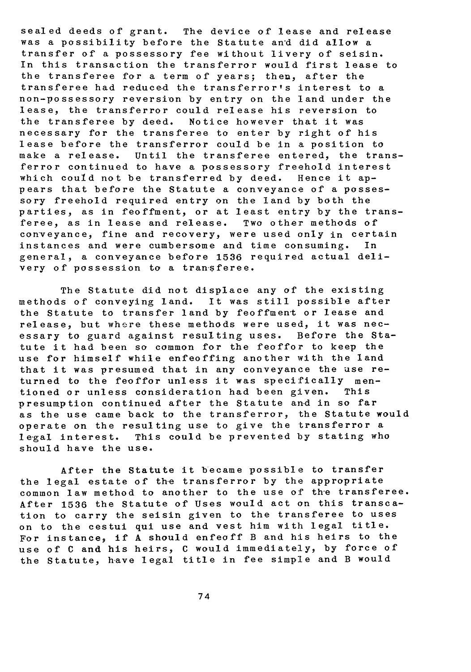sealed deeds of grant. The device of lease and release was a possibility before the Statute an'd did allow a transfer of a possessory fee without livery of seisin. In this transaction the transferror would first lease to the transferee for a term of years; theu, after the transferee had reduced the transferror's interest to a non-possessory reversion by entry on the land under the lease, the transferror could release his reversion to the transferee by deed. Notice however that it was necessary for the transferee to enter by right of his lease before the transferror could be in a position to make a release. Until the transferee entered, the transferror continued to have a possessory freehold interest which could not be transferred by deed. Hence it appears that before the Statute a conveyance of a possessory freehold required entry on the land by both the parties, as in feoffment, or at least entry by the transferee, as in lease and release. Two other methods of conveyance, fine and recovery, were used only in certain instances and were cumbersome and time consuming. In general, a conveyance before 1536 required actual delivery of possession to a transferee.

The Statute did not displace any of the existing methods of conveying land. It was still possible after the Statute to transfer land by feoffment or lease and release, but where these methods were used, it was necessary to guard against resulting uses. Before the Statute it had been so common for the feoffor to keep the use for himself while enfeoffing another with the land that it was presumed that in any conveyance the use returned to the feoffor unless it was specifically mentioned or unless consideration had been given. This presumption continued after the Statute and in so far as the use came back to the transferror, the Statute would operate on the resulting use to give the transferror a legal interest. This could be prevented by stating who should have the use.

After the Statute it became possible to transfer the legal estate of the transferror by the appropriate common law method to another to the use of the transferee. After 1536 the Statute of Uses would act on this transcation to carry the seisin given to the transferee to uses on to the cestui qui use and vest him with legal title. For instance, if A should enfeoff B and his heirs to the use of C and his heirs, C would immediately, by force of the Statute, have legal title in fee simple and B would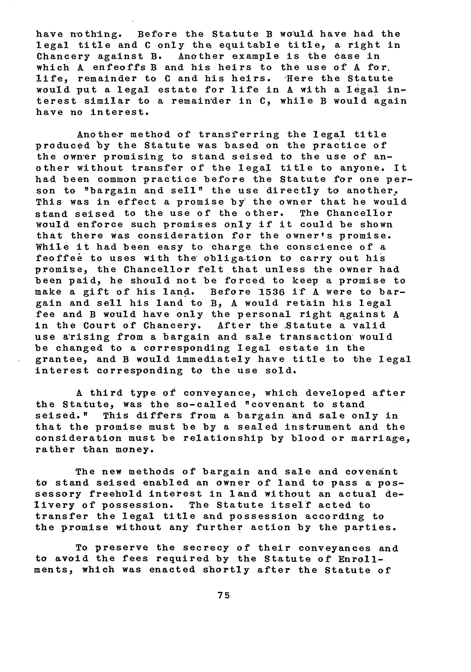have nothing. Before the Statute B would have had the legal title and C only the equitable title, a right in Chancery against B. Another example is the dase in which A enfeoffs B and his heirs to the use of A for. life, remainder to C and his heirs. Here the Statute would put a legal estate for life in A with a legal interest similar to a remain'der in **C,** while B would again have no interest.

Another method of transferring the legal title produced by the Statute was based on the practice of the owner promising to stand seised to the use of another without transfer of the legal title to anyone. It had been common practice before the Statute for one person to "bargain and sell" the use directly to another. This was in effect a promise by the owner that he would stand seised to the use of the other. The Chancellor would enforce such promises only if it could be shown that there was consideration for the owner's promise. While it had been easy to charge. the conscience of a feoffee to uses with the obligation to carry out his promise, the Chancellor felt that unless the owner had been paid, he should not be forced to keep a promise to make a gift of his land. Before 1536 if A were to barmake 1536 if A were to bargain and sell his land to B, A would retain his legal fee and B would have only the personal right against A in the Court of Chancery. After the Statute a valid use arising from a bargain and sale transaction would be changed to a corresponding legal estate in the grantee, and B would immediately have title to the legal interest corresponding to the use sold.

A third type of conveyance, which developed after the Statute, was the so-called "covenant to stand seised." This differs from a bargain and sale only in that the promise must be by a sealed instrument and the consideration must be relationship by blood or marriage, rather than money.

The new methods of bargain and sale and covenant to stand seised enabled an owner of land to pass **a** possessory freehold interest in land without an actual delivery of possession. The Statute itself acted to transfer the legal title and possession according to the promise without any further action by the parties.

To preserve the secrecy of their conveyances and to avoid the fees required by the Statute of Enrollments, which was enacted shortly after the Statute of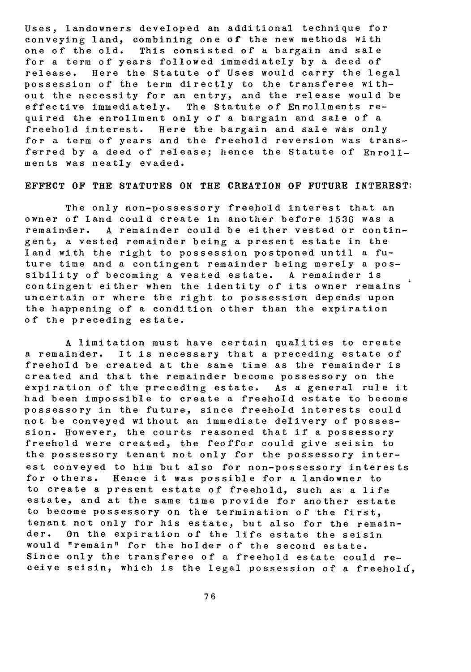Uses, landowners developed an additional technique for conveying land, combining one of the new methods with one of the old. This consisted of a bargain and sale for a term of years followed immediately by a deed of release. Here the Statute of Uses would carry the legal possession of the term directly to the transferee without the necessity for an entry, and the release would be effective immediately. The Statute of Enrollments required the enrollment only of a bargain and sale of a<br>freehold interest. Here the bargain and sale was only Here the bargain and sale was only for a term of years and the freehold reversion was transferred by a deed of release; hence the Statute of Enrollments was neatly evaded.

### **EFFECT** OF THE **STATUTES ON** THE **CREATION** OF **FUTURE** INTEREST:

The only non-possessory freehold interest that an owner of land could create in another before 1530 was a remainder. A remainder could be either vested or contingent, a vested remainder being a present estate in the land with the right to possession postponed until a future time and a contingent remainder being merely a possibility of becoming a vested estate. A remainder is contingent either when the identity of its owner remains uncertain or where the right to possession depends upon the happening of a condition other than the expiration of the preceding estate.

A limitation must have certain qualities to create a remainder. It is necessary that a preceding estate of freehold be created at the same time as the remainder is created and that the remainder become possessory on the expiration of the preceding estate. As a general rule it had been impossible to create a freehold estate to become possessory in the future, since freehold interests could not be conveyed without an immediate delivery of possession. However, the courts reasoned that if a possessory freehold were created, the feoffor could give seisin to the possessory tenant not only for the possessory interest conveyed to him but also for non-possessory interests for others. Hence it was possible for a landowner to to create a present estate of freehold, such as a life estate, and at the same time provide for another estate to become possessory on the termination of the first, tenant not only for his estate, but also for the remainder. On the expiration of the life estate the seisin would "remain" for the holder of the second estate. Since only the transferee of a freehold estate could receive seisin, which is the legal possession of a freehold,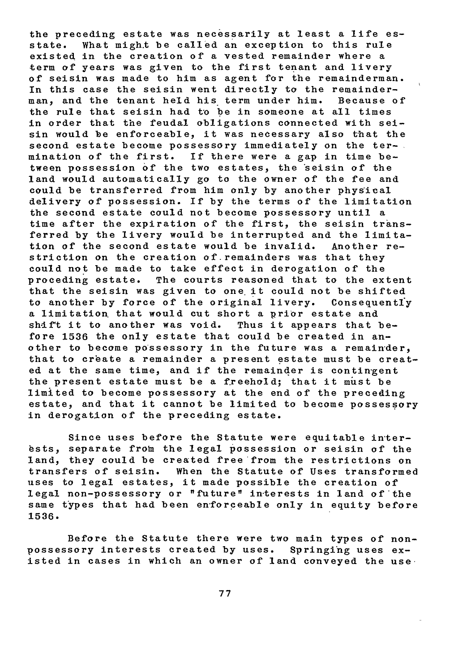the preceding estate was necessarily at least a life esstate. What migh.t be called an exception to this rule existed in the creation of a vested remainder where a term of years was given to the first tenant and livery of seisin was made to him as agent for the remainderman. In this case the seisin went directly to the remainderman., and the tenant held his term under him. Because of the rule that seisin had to be in someone at all times in order that the feudal obligations connected with seisin would be enforceable, it was necessary also that the second estate become possessory immediately on the termination of the first. If there were a gap in time between possession of the two estates, the seisin of the land would automatically **go** to the owner of the fee and could be transferred from him only by another physical delivery of possession. If by the terms of the limitation the second estate could not become possessory until a time after the expiration of the first, the seisin transferred by the livery would be interrupted and the limitation of the second estate would be invalid. Another restriction on the creation of remainders was that they could not be made to take effect in derogation of the proceding estate. The courts reasoned that to the extent that the seisin was given to one it could not be shifted to another by force of the original livery. Consequentl'y a limitation. that would cut short a prior estate and shift it to another was void. Thus it appears that before 1536 the only estate that could be created in another to become possessory in the future was a remainder, that to create a remainder a present estate must be created at the same time, and if the remainder is contingent the present estate must be a freehold; that it must be limited to become possessory at the end of the preceding estate, and that it cannot be limited to become possessory in derogation of the preceding estate.

Since uses before the Statute were equitable in'terests, separate from the legal possession or seisin of the land, they could be created free from the restrictions on transfers of seisin. When the Statute of Uses transformed uses to legal estates, it made possible the creation of legal non-possessory or "future" in-terests in land **of** \*the same types that had been en'forceable only in equity before **1536.**

Before the Statute there were two main types of nonpossessory interests created by uses. Springing uses existed in cases in which an owner of land conveyed the use